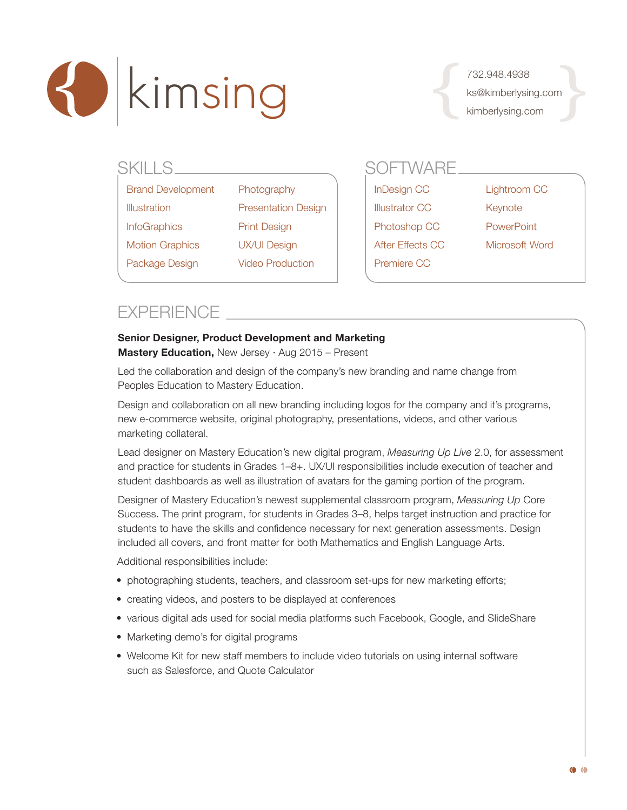

732.948.4938 ks@kimberlysing.com kimberlysing.com

| SKILLS |                          |                            |  | <b>SOFTWARE</b>       |                |  |
|--------|--------------------------|----------------------------|--|-----------------------|----------------|--|
|        | <b>Brand Development</b> | Photography                |  | InDesign CC           | Lightroom CC   |  |
|        | <b>Illustration</b>      | <b>Presentation Design</b> |  | <b>Illustrator CC</b> | Keynote        |  |
|        | <b>InfoGraphics</b>      | <b>Print Design</b>        |  | Photoshop CC          | PowerPoint     |  |
|        | <b>Motion Graphics</b>   | <b>UX/UI Design</b>        |  | After Effects CC      | Microsoft Word |  |
|        | Package Design           | <b>Video Production</b>    |  | Premiere CC           |                |  |
|        |                          |                            |  |                       |                |  |

## **EXPERIENCE**

### **Senior Designer, Product Development and Marketing**

**Mastery Education,** New Jersey · Aug 2015 – Present

Led the collaboration and design of the company's new branding and name change from Peoples Education to Mastery Education.

Design and collaboration on all new branding including logos for the company and it's programs, new e-commerce website, original photography, presentations, videos, and other various marketing collateral.

Lead designer on Mastery Education's new digital program, *Measuring Up Live* 2.0, for assessment and practice for students in Grades 1–8+. UX/UI responsibilities include execution of teacher and student dashboards as well as illustration of avatars for the gaming portion of the program.

Designer of Mastery Education's newest supplemental classroom program, *Measuring Up* Core Success. The print program, for students in Grades 3–8, helps target instruction and practice for students to have the skills and confidence necessary for next generation assessments. Design included all covers, and front matter for both Mathematics and English Language Arts.

Additional responsibilities include:

- photographing students, teachers, and classroom set-ups for new marketing efforts;
- creating videos, and posters to be displayed at conferences
- various digital ads used for social media platforms such Facebook, Google, and SlideShare
- Marketing demo's for digital programs
- Welcome Kit for new staff members to include video tutorials on using internal software such as Salesforce, and Quote Calculator